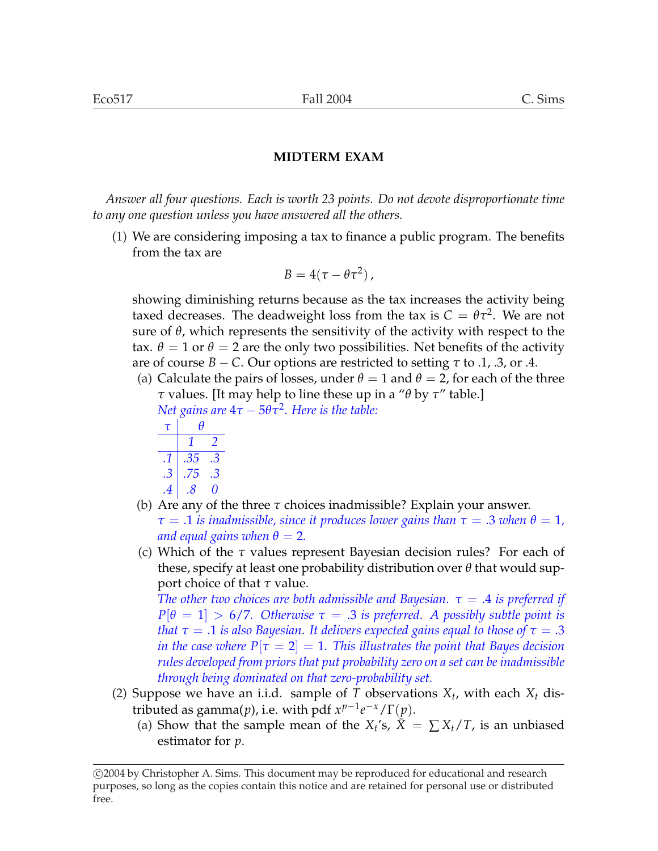*Answer all four questions. Each is worth 23 points. Do not devote disproportionate time to any one question unless you have answered all the others.*

(1) We are considering imposing a tax to finance a public program. The benefits from the tax are

$$
B=4(\tau-\theta\tau^2)\,,
$$

showing diminishing returns because as the tax increases the activity being taxed decreases. The deadweight loss from the tax is  $C = \theta \tau^2$ . We are not sure of  $\theta$ , which represents the sensitivity of the activity with respect to the tax.  $\theta = 1$  or  $\theta = 2$  are the only two possibilities. Net benefits of the activity are of course  $B - C$ . Our options are restricted to setting  $\tau$  to .1, .3, or .4.

(a) Calculate the pairs of losses, under  $\theta = 1$  and  $\theta = 2$ , for each of the three *τ* values. [It may help to line these up in a "*θ* by *τ*" table.] *Net gains are*  $4\tau - 5\theta\tau^2$ *. Here is the table:* 

$$
\begin{array}{c|cc}\n\hline\n7 & \theta \\
1 & 2 \\
\hline\n.1 & .35 & .3 \\
.3 & .75 & .3\n\end{array}
$$

$$
\begin{array}{c|cc} .4 & .8 & 0 \end{array}
$$

- (b) Are any of the three *τ* choices inadmissible? Explain your answer.  $\tau = .1$  *is inadmissible, since it produces lower gains than*  $\tau = .3$  *when*  $\theta = 1$ *, and equal gains when*  $\theta = 2$ .
- (c) Which of the *τ* values represent Bayesian decision rules? For each of these, specify at least one probability distribution over *θ* that would support choice of that *τ* value.

*The other two choices are both admissible and Bayesian.*  $\tau = .4$  *is preferred if*  $P[\theta = 1] > 6/7$ . Otherwise  $\tau = .3$  is preferred. A possibly subtle point is *that τ* = .1 *is also Bayesian. It delivers expected gains equal to those of τ* = .3 *in the case where*  $P[\tau = 2] = 1$ . This illustrates the point that Bayes decision *rules developed from priors that put probability zero on a set can be inadmissible through being dominated on that zero-probability set.*

- (2) Suppose we have an i.i.d. sample of  $T$  observations  $X_t$ , with each  $X_t$  distributed as gamma(*p*), i.e. with pdf  $x^{p-1}e^{-x}/\Gamma(p)$ .
	- (a) Show that the sample mean of the  $X_t$ 's,  $\overline{X} = \sum X_t / T$ , is an unbiased estimator for *p*.

<sup>°</sup>c 2004 by Christopher A. Sims. This document may be reproduced for educational and research purposes, so long as the copies contain this notice and are retained for personal use or distributed free.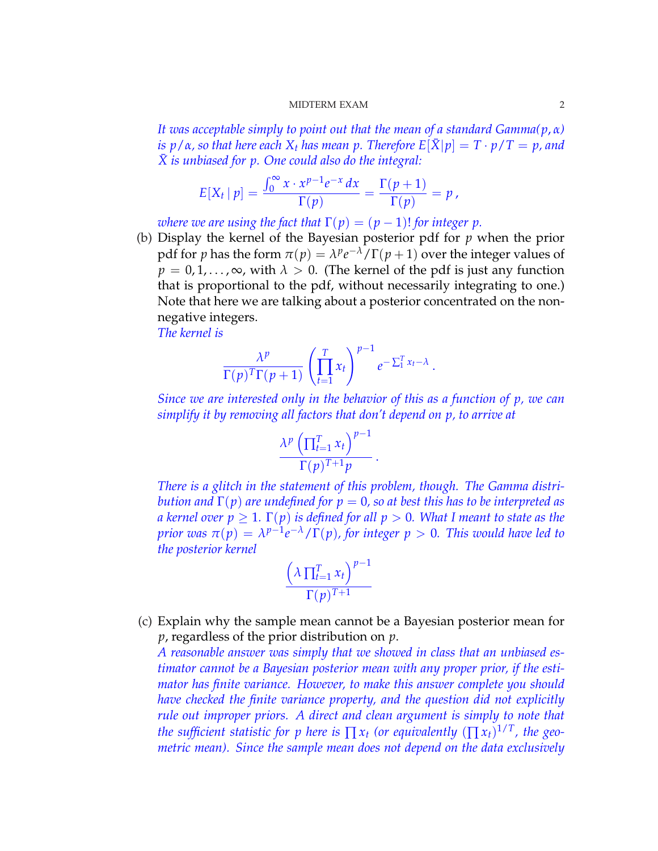*It was acceptable simply to point out that the mean of a standard Gamma(p*, *α)*  $i\sigma p/\alpha$ , so that here each  $X_t$  has mean p. Therefore  $E[\bar{X}|p] = T \cdot p/T = p$ , and *X*¯ *is unbiased for p. One could also do the integral:*

$$
E[X_t | p] = \frac{\int_0^\infty x \cdot x^{p-1} e^{-x} dx}{\Gamma(p)} = \frac{\Gamma(p+1)}{\Gamma(p)} = p,
$$

*where we are using the fact that*  $\Gamma(p) = (p-1)!$  *for integer p.* 

(b) Display the kernel of the Bayesian posterior pdf for *p* when the prior pdf for *p* has the form  $\pi(p) = \lambda^p e^{-\lambda} / \Gamma(p+1)$  over the integer values of  $p = 0, 1, \ldots, \infty$ , with  $\lambda > 0$ . (The kernel of the pdf is just any function that is proportional to the pdf, without necessarily integrating to one.) Note that here we are talking about a posterior concentrated on the nonnegative integers.

*The kernel is*

$$
\frac{\lambda^p}{\Gamma(p)^T\Gamma(p+1)}\left(\prod_{t=1}^T x_t\right)^{p-1}e^{-\sum_{1}^T x_t-\lambda}.
$$

*Since we are interested only in the behavior of this as a function of p, we can simplify it by removing all factors that don't depend on p, to arrive at*

.

$$
\frac{\lambda^p \left( \prod_{t=1}^T x_t \right)^{p-1}}{\Gamma(p)^{T+1} p}
$$

*There is a glitch in the statement of this problem, though. The Gamma distribution and* Γ(*p*) *are undefined for p* = 0*, so at best this has to be interpreted as a* kernel over  $p > 1$ .  $\Gamma(p)$  *is defined for all*  $p > 0$ . What I meant to state as the *prior was*  $\pi(p) = \lambda^{p-1} e^{-\lambda} / \Gamma(p)$ , for integer  $p > 0$ . This would have led to *the posterior kernel*

$$
\frac{\left(\lambda \prod_{t=1}^{T} x_t\right)^{p-1}}{\Gamma(p)^{T+1}}
$$

(c) Explain why the sample mean cannot be a Bayesian posterior mean for *p*, regardless of the prior distribution on *p*.

*A reasonable answer was simply that we showed in class that an unbiased estimator cannot be a Bayesian posterior mean with any proper prior, if the estimator has finite variance. However, to make this answer complete you should have checked the finite variance property, and the question did not explicitly rule out improper priors. A direct and clean argument is simply to note that the sufficient statistic for p here is*  $\prod x_t$  *(or equivalently*  $(\prod x_t)^{1/T}$ *, the geometric mean). Since the sample mean does not depend on the data exclusively*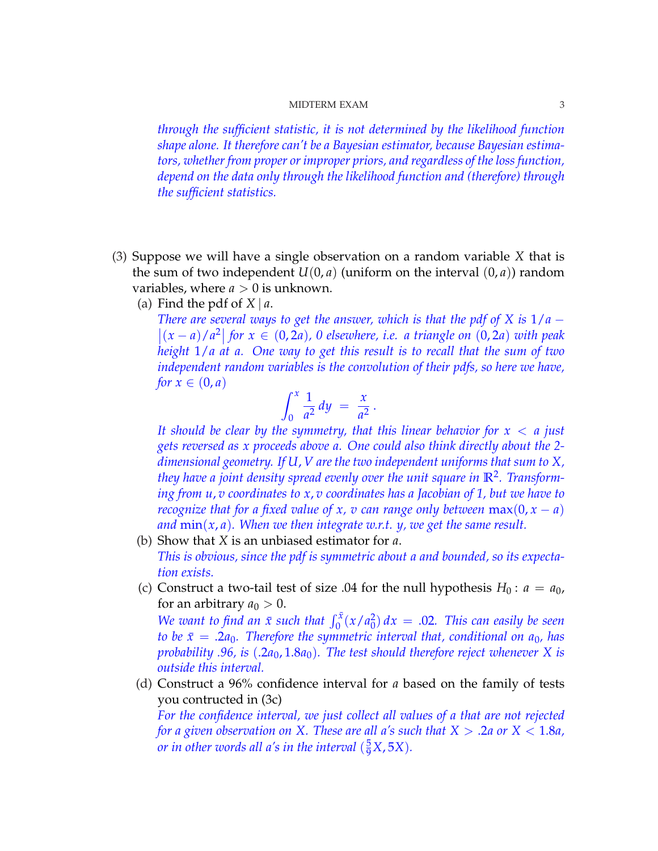*through the sufficient statistic, it is not determined by the likelihood function shape alone. It therefore can't be a Bayesian estimator, because Bayesian estimators, whether from proper or improper priors, and regardless of the loss function, depend on the data only through the likelihood function and (therefore) through the sufficient statistics.*

- (3) Suppose we will have a single observation on a random variable *X* that is the sum of two independent  $U(0, a)$  (uniform on the interval  $(0, a)$ ) random variables, where  $a > 0$  is unknown.
	- (a) Find the pdf of  $X | a$ .

*There are several ways to get the answer, which is that the pdf of X is*  $1/a$  −  $|(x − a)/a^2|$  for  $x ∈ (0, 2a)$ , 0 elsewhere, i.e. a triangle on  $(0, 2a)$  with peak *height* 1/*a at a. One way to get this result is to recall that the sum of two independent random variables is the convolution of their pdfs, so here we have, for*  $x \in (0, a)$  $\int f(x)$ 

$$
\int_0^x \frac{1}{a^2} dy = \frac{x}{a^2}.
$$

*It should be clear by the symmetry, that this linear behavior for x* < *a just gets reversed as x proceeds above a. One could also think directly about the 2 dimensional geometry. If U*, *V are the two independent uniforms that sum to X, they have a joint density spread evenly over the unit square in* **R**<sup>2</sup> *. Transforming from u*, *v coordinates to x*, *v coordinates has a Jacobian of 1, but we have to recognize that for a fixed value of x, v can range only between*  $max(0, x - a)$ *and* min(*x*, *a*)*. When we then integrate w.r.t. y, we get the same result.*

- (b) Show that *X* is an unbiased estimator for *a*. *This is obvious, since the pdf is symmetric about a and bounded, so its expectation exists.*
- (c) Construct a two-tail test of size .04 for the null hypothesis  $H_0: a = a_0$ , for an arbitrary  $a_0 > 0$ .

*We want to find an*  $\bar{x}$  *such that*  $\int_0^{\bar{x}} (x/a_0^2)$  $_{0}^{2}) dx = .02$ . *This can easily be seen to be*  $\bar{x}$  = .2*a*<sub>0</sub>*. Therefore the symmetric interval that, conditional on a*<sub>0</sub>*, has probability .96, is* (.2*a*0, 1.8*a*0)*. The test should therefore reject whenever X is outside this interval.*

(d) Construct a 96% confidence interval for *a* based on the family of tests you contructed in (3c)

*For the confidence interval, we just collect all values of a that are not rejected for a given observation on X. These are all a's such that X* > .2*a or X* < 1.8*a, or in other words all a's in the interval*  $(\frac{5}{9}X, 5X)$ *.*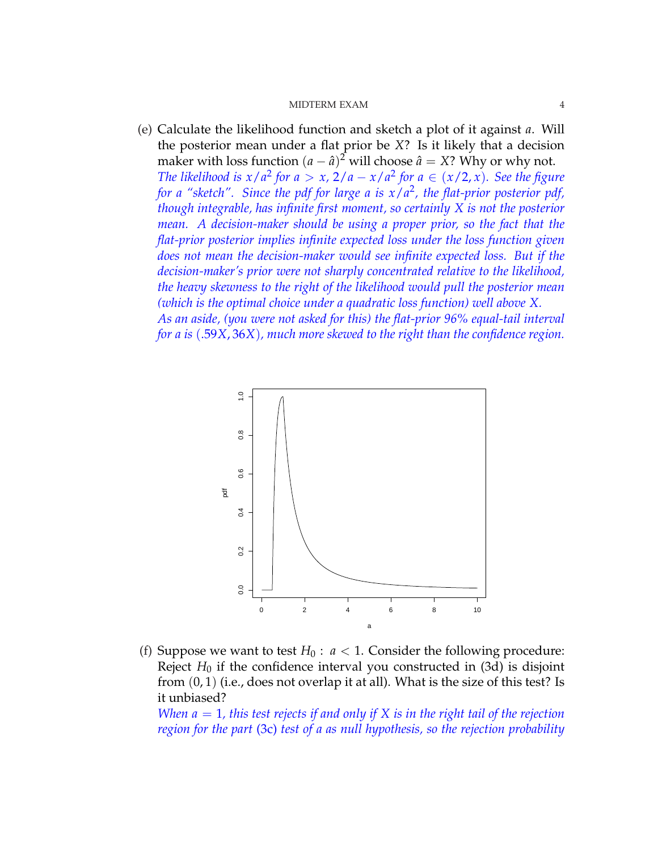(e) Calculate the likelihood function and sketch a plot of it against *a*. Will the posterior mean under a flat prior be *X*? Is it likely that a decision maker with loss function  $(a - \hat{a})^2$  will choose  $\hat{a} = X$ ? Why or why not. *The likelihood is*  $x/a^2$  *for*  $a > x$ ,  $2/a - x/a^2$  *for*  $a \in (x/2, x)$ *. See the figure for a "sketch". Since the pdf for large a is x*/*a* 2 *, the flat-prior posterior pdf, though integrable, has infinite first moment, so certainly X is not the posterior mean. A decision-maker should be using a proper prior, so the fact that the flat-prior posterior implies infinite expected loss under the loss function given does not mean the decision-maker would see infinite expected loss. But if the decision-maker's prior were not sharply concentrated relative to the likelihood, the heavy skewness to the right of the likelihood would pull the posterior mean (which is the optimal choice under a quadratic loss function) well above X. As an aside, (you were not asked for this) the flat-prior 96% equal-tail interval for a is* (.59*X*, 36*X*)*, much more skewed to the right than the confidence region.*



(f) Suppose we want to test  $H_0: a < 1$ . Consider the following procedure: Reject  $H_0$  if the confidence interval you constructed in  $(3d)$  is disjoint from  $(0, 1)$  (i.e., does not overlap it at all). What is the size of this test? Is it unbiased?

*When a* = 1*, this test rejects if and only if X is in the right tail of the rejection region for the part* (3c) *test of a as null hypothesis, so the rejection probability*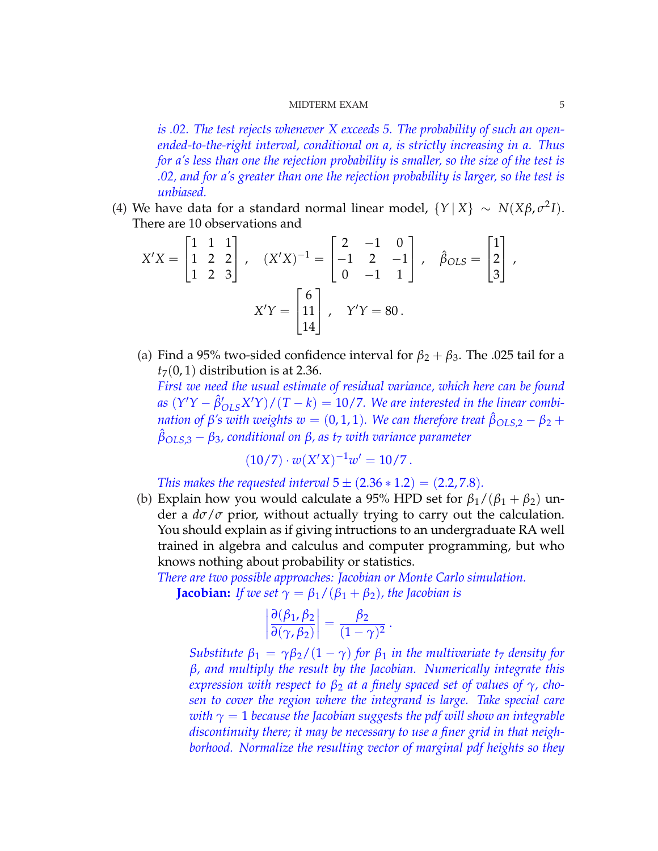*is .02. The test rejects whenever X exceeds 5. The probability of such an openended-to-the-right interval, conditional on a, is strictly increasing in a. Thus for a's less than one the rejection probability is smaller, so the size of the test is .02, and for a's greater than one the rejection probability is larger, so the test is unbiased.*

(4) We have data for a standard normal linear model,  ${Y | X} ∼ N(Xβ, σ²I)$ . There are 10 observations and  $\frac{1}{2}$   $\frac{1}{2}$   $\frac{1}{2}$  $\overline{r}$  $\overline{a}$  $\overline{r}$  $\overline{a}$ 

$$
X'X = \begin{bmatrix} 1 & 1 & 1 \\ 1 & 2 & 2 \\ 1 & 2 & 3 \end{bmatrix}, \quad (X'X)^{-1} = \begin{bmatrix} 2 & -1 & 0 \\ -1 & 2 & -1 \\ 0 & -1 & 1 \end{bmatrix}, \quad \hat{\beta}_{OLS} = \begin{bmatrix} 1 \\ 2 \\ 3 \end{bmatrix},
$$

$$
X'Y = \begin{bmatrix} 6 \\ 11 \\ 14 \end{bmatrix}, \quad Y'Y = 80.
$$

(a) Find a 95% two-sided confidence interval for  $\beta_2 + \beta_3$ . The .025 tail for a  $t_7(0, 1)$  distribution is at 2.36.

*First we need the usual estimate of residual variance, which here can be found as*  $(Y'Y - \hat{\beta}'_{OLS}X'Y)/(T - k) = 10/7$ . We are interested in the linear combi*nation of β*<sup>'</sup>*s* with weights  $w = (0, 1, 1)$ *. We can therefore treat*  $\hat{\beta}_{OLS,2} - \beta_2 + \hat{\beta}_1$ *β*ˆ*OLS*,3 − *β*3*, conditional on β, as t*<sup>7</sup> *with variance parameter*

$$
(10/7) \cdot w(X'X)^{-1}w' = 10/7.
$$

*This makes the requested interval*  $5 \pm (2.36 * 1.2) = (2.2, 7.8)$ *.* 

(b) Explain how you would calculate a 95% HPD set for  $\beta_1/(\beta_1 + \beta_2)$  under a *dσ*/*σ* prior, without actually trying to carry out the calculation. You should explain as if giving intructions to an undergraduate RA well trained in algebra and calculus and computer programming, but who knows nothing about probability or statistics.

*There are two possible approaches: Jacobian or Monte Carlo simulation.*

**Jacobian:** *If we set*  $\gamma = \beta_1/(\beta_1 + \beta_2)$ *, the Jacobian is* 

$$
\left|\frac{\partial(\beta_1,\beta_2)}{\partial(\gamma,\beta_2)}\right| = \frac{\beta_2}{(1-\gamma)^2}.
$$

*Substitute*  $\beta_1 = \gamma \beta_2 / (1 - \gamma)$  *for*  $\beta_1$  *in the multivariate t<sub>7</sub> density for β, and multiply the result by the Jacobian. Numerically integrate this expression with respect to*  $β_2$  *at a finely spaced set of values of*  $γ$ *, chosen to cover the region where the integrand is large. Take special care with*  $\gamma = 1$  *because the Jacobian suggests the pdf will show an integrable discontinuity there; it may be necessary to use a finer grid in that neighborhood. Normalize the resulting vector of marginal pdf heights so they*